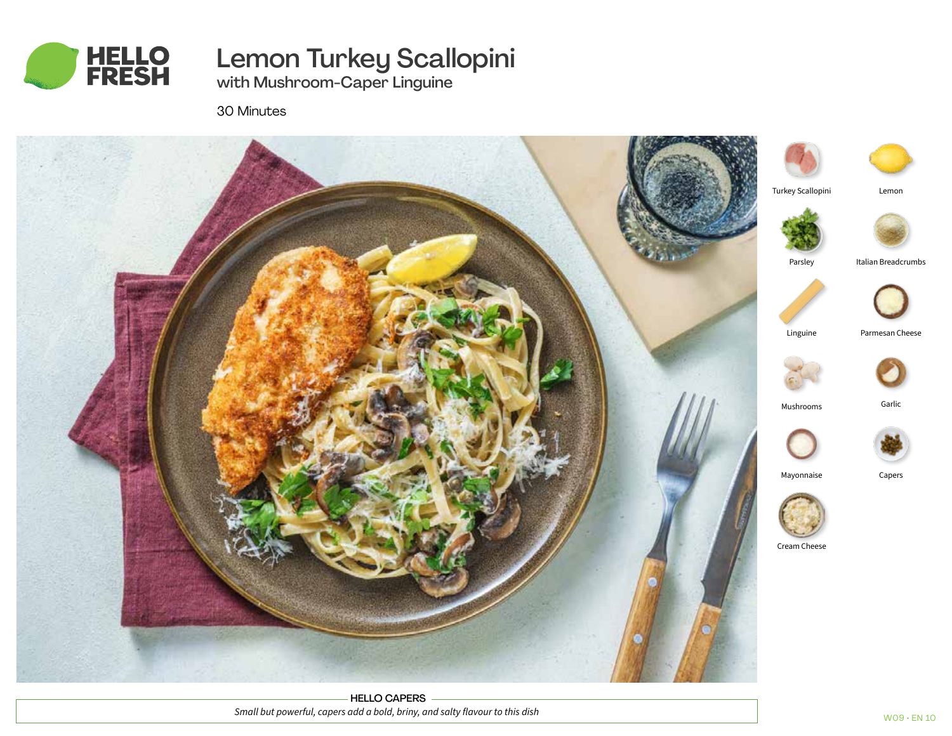

# Lemon Turkey Scallopini

with Mushroom-Caper Linguine

30 Minutes



HELLO CAPERS *Small but powerful, capers add a bold, briny, and salty flavour to this dish*